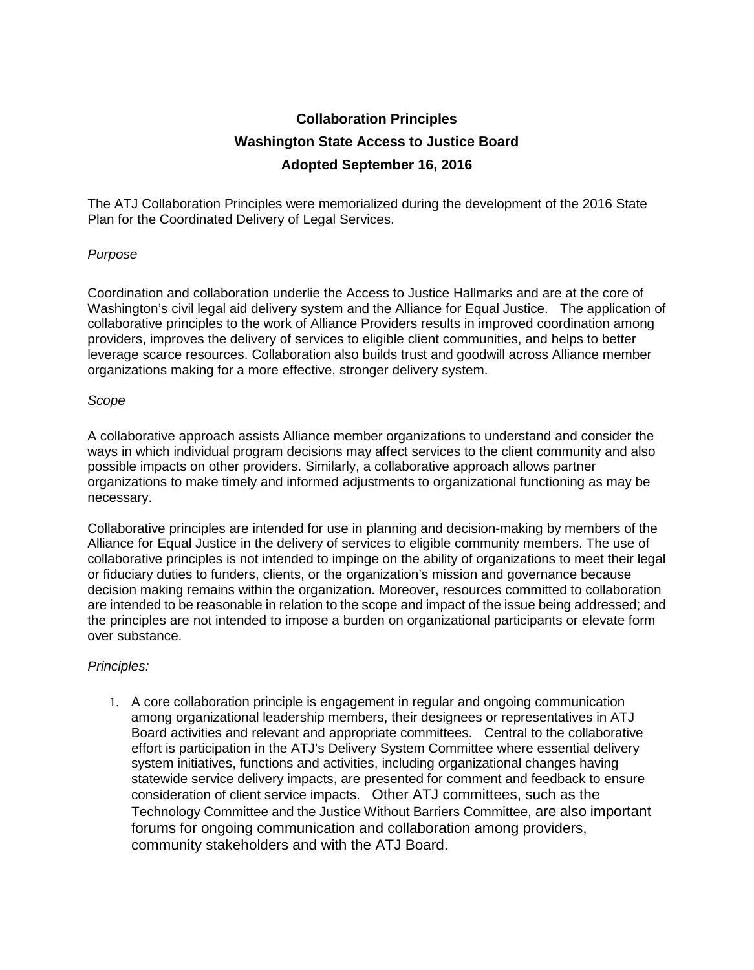## **Collaboration Principles Washington State Access to Justice Board Adopted September 16, 2016**

The ATJ Collaboration Principles were memorialized during the development of the 2016 State Plan for the Coordinated Delivery of Legal Services.

## *Purpose*

Coordination and collaboration underlie the Access to Justice Hallmarks and are at the core of Washington's civil legal aid delivery system and the Alliance for Equal Justice. The application of collaborative principles to the work of Alliance Providers results in improved coordination among providers, improves the delivery of services to eligible client communities, and helps to better leverage scarce resources. Collaboration also builds trust and goodwill across Alliance member organizations making for a more effective, stronger delivery system.

## *Scope*

A collaborative approach assists Alliance member organizations to understand and consider the ways in which individual program decisions may affect services to the client community and also possible impacts on other providers. Similarly, a collaborative approach allows partner organizations to make timely and informed adjustments to organizational functioning as may be necessary.

Collaborative principles are intended for use in planning and decision-making by members of the Alliance for Equal Justice in the delivery of services to eligible community members. The use of collaborative principles is not intended to impinge on the ability of organizations to meet their legal or fiduciary duties to funders, clients, or the organization's mission and governance because decision making remains within the organization. Moreover, resources committed to collaboration are intended to be reasonable in relation to the scope and impact of the issue being addressed; and the principles are not intended to impose a burden on organizational participants or elevate form over substance.

## *Principles:*

1. A core collaboration principle is engagement in regular and ongoing communication among organizational leadership members, their designees or representatives in ATJ Board activities and relevant and appropriate committees. Central to the collaborative effort is participation in the ATJ's Delivery System Committee where essential delivery system initiatives, functions and activities, including organizational changes having statewide service delivery impacts, are presented for comment and feedback to ensure consideration of client service impacts. Other ATJ committees, such as the Technology Committee and the Justice Without Barriers Committee, are also important forums for ongoing communication and collaboration among providers, community stakeholders and with the ATJ Board.